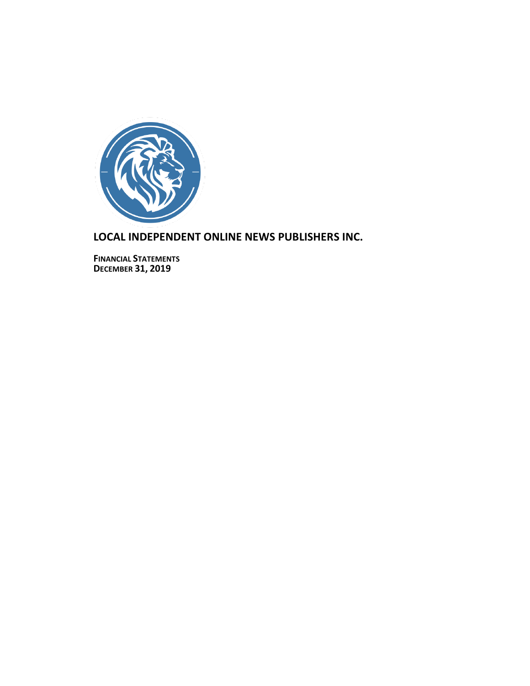

**FINANCIAL STATEMENTS DECEMBER 31, 2019**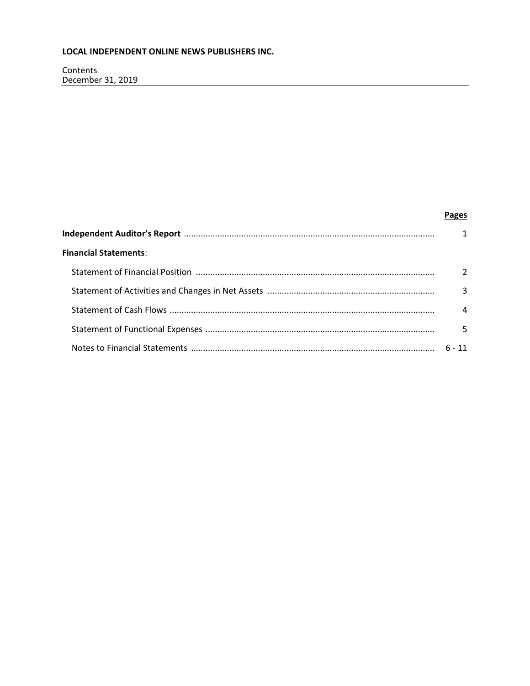# **Pages**

| <b>Financial Statements:</b> |                |
|------------------------------|----------------|
|                              | $\mathcal{P}$  |
|                              | 3              |
|                              | $\overline{4}$ |
|                              | 5              |
|                              |                |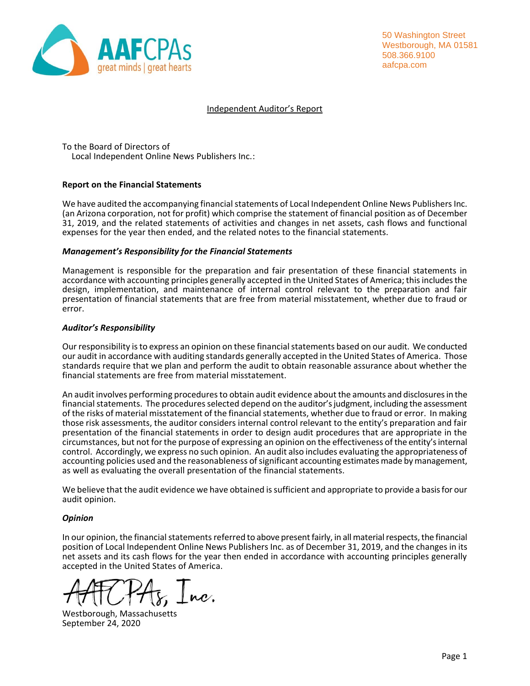

## Independent Auditor's Report

To the Board of Directors of Local Independent Online News Publishers Inc.:

#### **Report on the Financial Statements**

We have audited the accompanying financial statements of Local Independent Online News Publishers Inc. (an Arizona corporation, not for profit) which comprise the statement of financial position as of December 31, 2019, and the related statements of activities and changes in net assets, cash flows and functional expenses for the year then ended, and the related notes to the financial statements.

#### *Management's Responsibility for the Financial Statements*

Management is responsible for the preparation and fair presentation of these financial statements in accordance with accounting principles generally accepted in the United States of America; this includes the design, implementation, and maintenance of internal control relevant to the preparation and fair presentation of financial statements that are free from material misstatement, whether due to fraud or error.

#### *Auditor's Responsibility*

Our responsibility is to express an opinion on these financial statements based on our audit. We conducted our audit in accordance with auditing standards generally accepted in the United States of America. Those standards require that we plan and perform the audit to obtain reasonable assurance about whether the financial statements are free from material misstatement.

An audit involves performing procedures to obtain audit evidence about the amounts and disclosures in the financial statements. The procedures selected depend on the auditor's judgment, including the assessment of the risks of material misstatement of the financial statements, whether due to fraud or error. In making those risk assessments, the auditor considers internal control relevant to the entity's preparation and fair presentation of the financial statements in order to design audit procedures that are appropriate in the circumstances, but not for the purpose of expressing an opinion on the effectiveness of the entity's internal control. Accordingly, we express no such opinion. An audit also includes evaluating the appropriateness of accounting policies used and the reasonableness of significant accounting estimates made by management, as well as evaluating the overall presentation of the financial statements.

We believe that the audit evidence we have obtained is sufficient and appropriate to provide a basis for our audit opinion.

## *Opinion*

In our opinion, the financial statements referred to above present fairly, in all material respects, the financial position of Local Independent Online News Publishers Inc. as of December 31, 2019, and the changes in its net assets and its cash flows for the year then ended in accordance with accounting principles generally accepted in the United States of America.

Westborough, Massachusetts September 24, 2020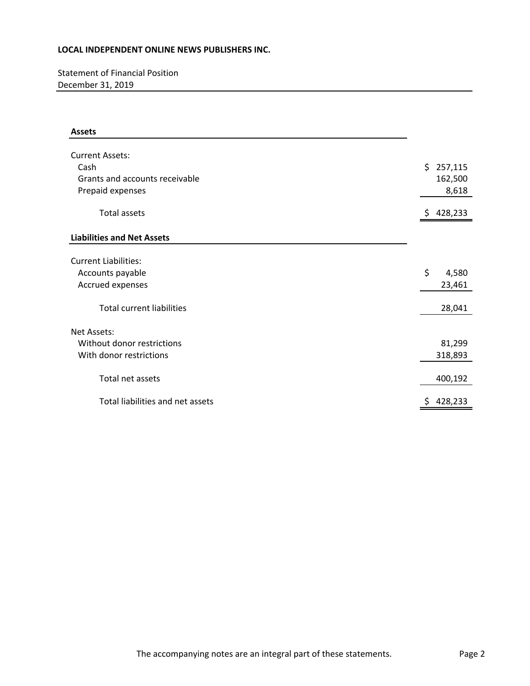Statement of Financial Position December 31, 2019

## **Assets**

| <b>Current Assets:</b>            |                |
|-----------------------------------|----------------|
| Cash                              | 257,115<br>\$. |
| Grants and accounts receivable    | 162,500        |
| Prepaid expenses                  | 8,618          |
| Total assets                      | 428,233<br>Ş.  |
| <b>Liabilities and Net Assets</b> |                |
|                                   |                |
| <b>Current Liabilities:</b>       |                |
| Accounts payable                  | \$<br>4,580    |
| Accrued expenses                  | 23,461         |
| <b>Total current liabilities</b>  | 28,041         |
| Net Assets:                       |                |
| Without donor restrictions        | 81,299         |
| With donor restrictions           | 318,893        |
|                                   |                |
| Total net assets                  | 400,192        |
| Total liabilities and net assets  | 428,233<br>Ş   |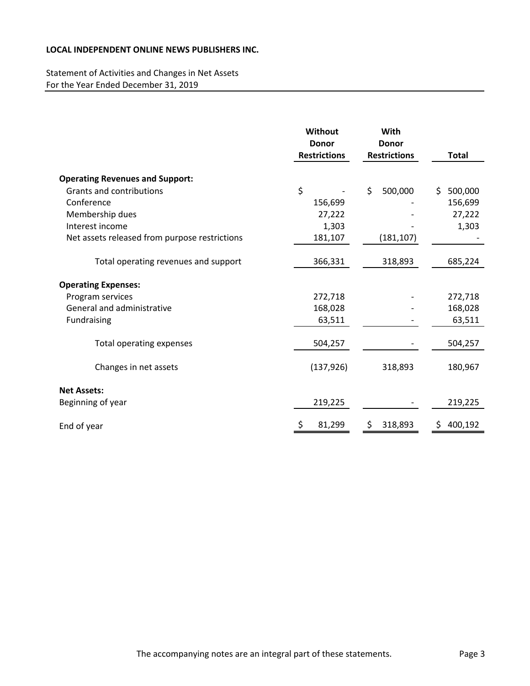Statement of Activities and Changes in Net Assets For the Year Ended December 31, 2019

|                                               | Without<br><b>Donor</b><br><b>Restrictions</b> | With<br><b>Donor</b><br><b>Restrictions</b> | <b>Total</b>   |
|-----------------------------------------------|------------------------------------------------|---------------------------------------------|----------------|
| <b>Operating Revenues and Support:</b>        |                                                |                                             |                |
| <b>Grants and contributions</b>               | \$                                             | 500,000<br>\$                               | 500,000<br>\$. |
| Conference                                    | 156,699                                        |                                             | 156,699        |
| Membership dues                               | 27,222                                         |                                             | 27,222         |
| Interest income                               | 1,303                                          |                                             | 1,303          |
| Net assets released from purpose restrictions | 181,107                                        | (181, 107)                                  |                |
|                                               |                                                |                                             |                |
| Total operating revenues and support          | 366,331                                        | 318,893                                     | 685,224        |
| <b>Operating Expenses:</b>                    |                                                |                                             |                |
| Program services                              | 272,718                                        |                                             | 272,718        |
| General and administrative                    | 168,028                                        |                                             | 168,028        |
| Fundraising                                   | 63,511                                         |                                             | 63,511         |
| Total operating expenses                      | 504,257                                        |                                             | 504,257        |
| Changes in net assets                         | (137, 926)                                     | 318,893                                     | 180,967        |
| <b>Net Assets:</b>                            |                                                |                                             |                |
| Beginning of year                             | 219,225                                        |                                             | 219,225        |
| End of year                                   | 81,299                                         | 318,893<br>\$                               | 400,192<br>\$  |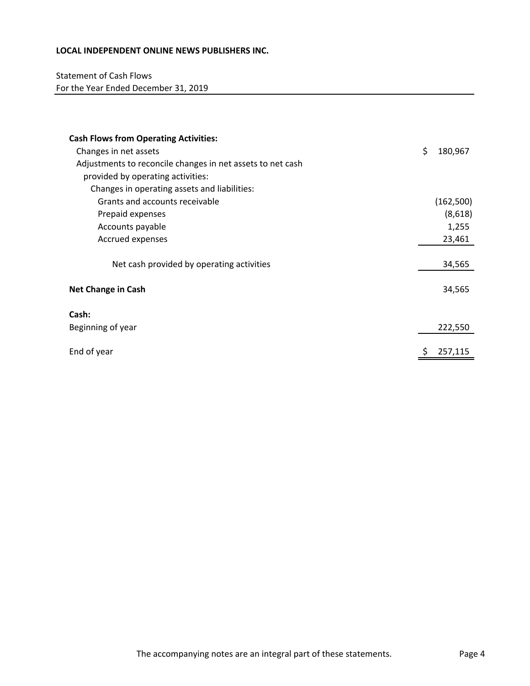| <b>Statement of Cash Flows</b>       |  |  |
|--------------------------------------|--|--|
| For the Year Ended December 31, 2019 |  |  |

| <b>Cash Flows from Operating Activities:</b><br>Changes in net assets<br>Adjustments to reconcile changes in net assets to net cash<br>provided by operating activities:<br>Changes in operating assets and liabilities: | \$<br>180,967    |
|--------------------------------------------------------------------------------------------------------------------------------------------------------------------------------------------------------------------------|------------------|
| Grants and accounts receivable                                                                                                                                                                                           | (162, 500)       |
| Prepaid expenses                                                                                                                                                                                                         | (8,618)          |
| Accounts payable                                                                                                                                                                                                         | 1,255            |
| Accrued expenses                                                                                                                                                                                                         | 23,461           |
| Net cash provided by operating activities<br><b>Net Change in Cash</b>                                                                                                                                                   | 34,565<br>34,565 |
| Cash:<br>Beginning of year                                                                                                                                                                                               | 222,550          |
| End of year                                                                                                                                                                                                              | 257,115          |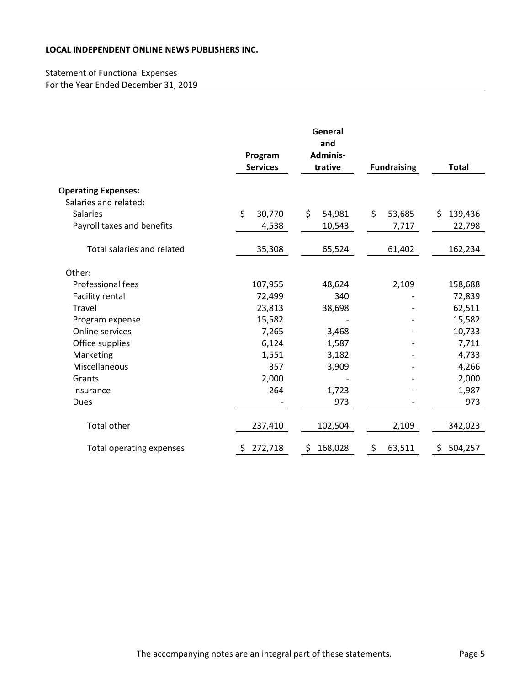# Statement of Functional Expenses For the Year Ended December 31, 2019

|                            | Program<br><b>Services</b> | General<br>and<br><b>Adminis-</b><br>trative | <b>Fundraising</b> | <b>Total</b>  |
|----------------------------|----------------------------|----------------------------------------------|--------------------|---------------|
| <b>Operating Expenses:</b> |                            |                                              |                    |               |
| Salaries and related:      |                            |                                              |                    |               |
| <b>Salaries</b>            | \$<br>30,770               | \$<br>54,981                                 | \$<br>53,685       | 139,436<br>\$ |
| Payroll taxes and benefits | 4,538                      | 10,543                                       | 7,717              | 22,798        |
| Total salaries and related | 35,308                     | 65,524                                       | 61,402             | 162,234       |
| Other:                     |                            |                                              |                    |               |
| Professional fees          | 107,955                    | 48,624                                       | 2,109              | 158,688       |
| Facility rental            | 72,499                     | 340                                          |                    | 72,839        |
| Travel                     | 23,813                     | 38,698                                       |                    | 62,511        |
| Program expense            | 15,582                     |                                              |                    | 15,582        |
| Online services            | 7,265                      | 3,468                                        |                    | 10,733        |
| Office supplies            | 6,124                      | 1,587                                        |                    | 7,711         |
| Marketing                  | 1,551                      | 3,182                                        |                    | 4,733         |
| Miscellaneous              | 357                        | 3,909                                        |                    | 4,266         |
| Grants                     | 2,000                      |                                              |                    | 2,000         |
| Insurance                  | 264                        | 1,723                                        |                    | 1,987         |
| Dues                       |                            | 973                                          |                    | 973           |
| <b>Total other</b>         | 237,410                    | 102,504                                      | 2,109              | 342,023       |
| Total operating expenses   | 272,718                    | 168,028<br>\$                                | \$<br>63,511       | 504,257<br>S  |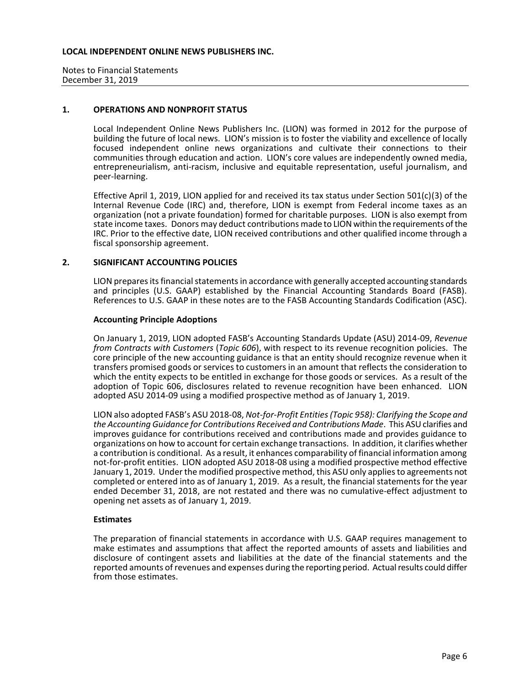Notes to Financial Statements December 31, 2019

#### **1. OPERATIONS AND NONPROFIT STATUS**

Local Independent Online News Publishers Inc. (LION) was formed in 2012 for the purpose of building the future of local news. LION's mission is to foster the viability and excellence of locally focused independent online news organizations and cultivate their connections to their communities through education and action. LION's core values are independently owned media, entrepreneurialism, anti-racism, inclusive and equitable representation, useful journalism, and peer-learning.

Effective April 1, 2019, LION applied for and received its tax status under Section 501(c)(3) of the Internal Revenue Code (IRC) and, therefore, LION is exempt from Federal income taxes as an organization (not a private foundation) formed for charitable purposes. LION is also exempt from state income taxes. Donors may deduct contributions made to LION within the requirements of the IRC. Prior to the effective date, LION received contributions and other qualified income through a fiscal sponsorship agreement.

#### **2. SIGNIFICANT ACCOUNTING POLICIES**

LION prepares its financial statements in accordance with generally accepted accounting standards and principles (U.S. GAAP) established by the Financial Accounting Standards Board (FASB). References to U.S. GAAP in these notes are to the FASB Accounting Standards Codification (ASC).

#### **Accounting Principle Adoptions**

On January 1, 2019, LION adopted FASB's Accounting Standards Update (ASU) 2014-09, *Revenue from Contracts with Customers* (*Topic 606*), with respect to its revenue recognition policies. The core principle of the new accounting guidance is that an entity should recognize revenue when it transfers promised goods or services to customers in an amount that reflects the consideration to which the entity expects to be entitled in exchange for those goods or services. As a result of the adoption of Topic 606, disclosures related to revenue recognition have been enhanced. LION adopted ASU 2014-09 using a modified prospective method as of January 1, 2019.

LION also adopted FASB's ASU 2018-08, *Not-for-Profit Entities (Topic 958): Clarifying the Scope and the Accounting Guidance for Contributions Received and Contributions Made*. This ASU clarifies and improves guidance for contributions received and contributions made and provides guidance to organizations on how to account for certain exchange transactions. In addition, it clarifies whether a contribution is conditional. As a result, it enhances comparability of financial information among not-for-profit entities. LION adopted ASU 2018-08 using a modified prospective method effective January 1, 2019. Under the modified prospective method, this ASU only applies to agreements not completed or entered into as of January 1, 2019. As a result, the financial statements for the year ended December 31, 2018, are not restated and there was no cumulative-effect adjustment to opening net assets as of January 1, 2019.

## **Estimates**

The preparation of financial statements in accordance with U.S. GAAP requires management to make estimates and assumptions that affect the reported amounts of assets and liabilities and disclosure of contingent assets and liabilities at the date of the financial statements and the reported amounts of revenues and expenses during the reporting period. Actual results could differ from those estimates.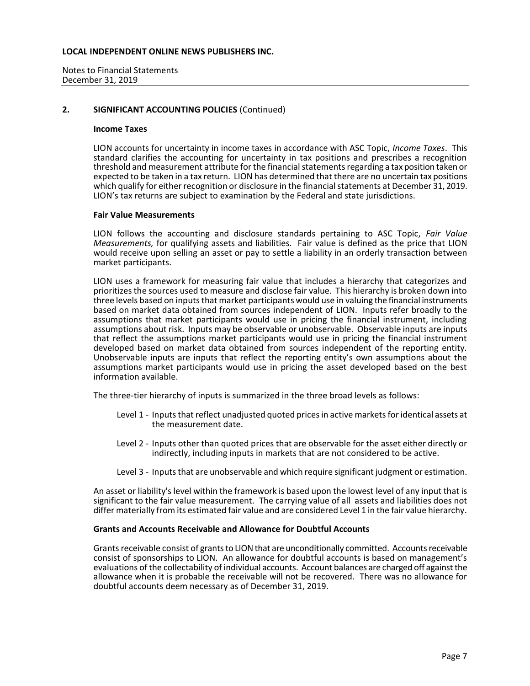Notes to Financial Statements December 31, 2019

## **2. SIGNIFICANT ACCOUNTING POLICIES** (Continued)

#### **Income Taxes**

LION accounts for uncertainty in income taxes in accordance with ASC Topic, *Income Taxes*. This standard clarifies the accounting for uncertainty in tax positions and prescribes a recognition threshold and measurement attribute for the financial statements regarding a tax position taken or expected to be taken in a tax return. LION has determined that there are no uncertain tax positions which qualify for either recognition or disclosure in the financial statements at December 31, 2019. LION's tax returns are subject to examination by the Federal and state jurisdictions.

#### **Fair Value Measurements**

LION follows the accounting and disclosure standards pertaining to ASC Topic, *Fair Value Measurements,* for qualifying assets and liabilities. Fair value is defined as the price that LION would receive upon selling an asset or pay to settle a liability in an orderly transaction between market participants.

LION uses a framework for measuring fair value that includes a hierarchy that categorizes and prioritizes the sources used to measure and disclose fair value. This hierarchy is broken down into three levels based on inputs that market participants would use in valuing the financial instruments based on market data obtained from sources independent of LION. Inputs refer broadly to the assumptions that market participants would use in pricing the financial instrument, including assumptions about risk. Inputs may be observable or unobservable. Observable inputs are inputs that reflect the assumptions market participants would use in pricing the financial instrument developed based on market data obtained from sources independent of the reporting entity. Unobservable inputs are inputs that reflect the reporting entity's own assumptions about the assumptions market participants would use in pricing the asset developed based on the best information available.

The three-tier hierarchy of inputs is summarized in the three broad levels as follows:

- Level 1 Inputs that reflect unadjusted quoted prices in active markets for identical assets at the measurement date.
- Level 2 Inputs other than quoted prices that are observable for the asset either directly or indirectly, including inputs in markets that are not considered to be active.
- Level 3 Inputs that are unobservable and which require significant judgment or estimation.

An asset or liability's level within the framework is based upon the lowest level of any input that is significant to the fair value measurement. The carrying value of all assets and liabilities does not differ materially from its estimated fair value and are considered Level 1 in the fair value hierarchy.

## **Grants and Accounts Receivable and Allowance for Doubtful Accounts**

Grants receivable consist of grants to LION that are unconditionally committed. Accounts receivable consist of sponsorships to LION. An allowance for doubtful accounts is based on management's evaluations of the collectability of individual accounts. Account balances are charged off against the allowance when it is probable the receivable will not be recovered. There was no allowance for doubtful accounts deem necessary as of December 31, 2019.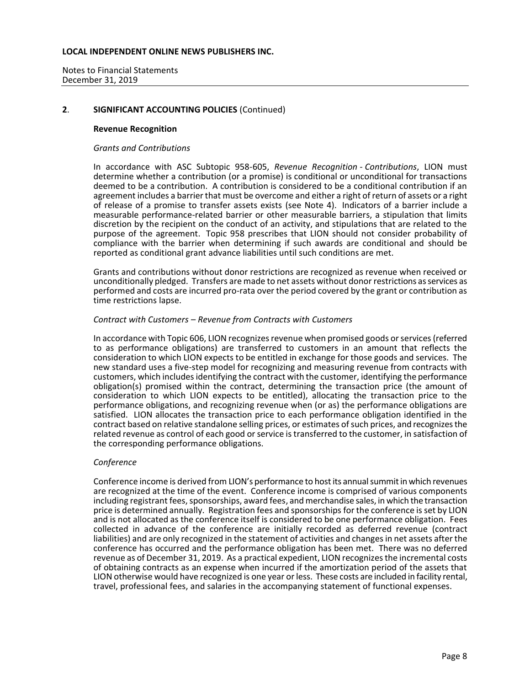Notes to Financial Statements December 31, 2019

## **2**. **SIGNIFICANT ACCOUNTING POLICIES** (Continued)

#### **Revenue Recognition**

#### *Grants and Contributions*

In accordance with ASC Subtopic 958-605, *Revenue Recognition - Contributions*, LION must determine whether a contribution (or a promise) is conditional or unconditional for transactions deemed to be a contribution. A contribution is considered to be a conditional contribution if an agreement includes a barrier that must be overcome and either a right of return of assets or a right of release of a promise to transfer assets exists (see Note 4). Indicators of a barrier include a measurable performance-related barrier or other measurable barriers, a stipulation that limits discretion by the recipient on the conduct of an activity, and stipulations that are related to the purpose of the agreement. Topic 958 prescribes that LION should not consider probability of compliance with the barrier when determining if such awards are conditional and should be reported as conditional grant advance liabilities until such conditions are met.

Grants and contributions without donor restrictions are recognized as revenue when received or unconditionally pledged. Transfers are made to net assets without donor restrictions as services as performed and costs are incurred pro-rata over the period covered by the grant or contribution as time restrictions lapse.

## *Contract with Customers – Revenue from Contracts with Customers*

In accordance with Topic 606, LION recognizes revenue when promised goods or services (referred to as performance obligations) are transferred to customers in an amount that reflects the consideration to which LION expects to be entitled in exchange for those goods and services. The new standard uses a five-step model for recognizing and measuring revenue from contracts with customers, which includes identifying the contract with the customer, identifying the performance obligation(s) promised within the contract, determining the transaction price (the amount of consideration to which LION expects to be entitled), allocating the transaction price to the performance obligations, and recognizing revenue when (or as) the performance obligations are satisfied. LION allocates the transaction price to each performance obligation identified in the contract based on relative standalone selling prices, or estimates of such prices, and recognizes the related revenue as control of each good or service is transferred to the customer, in satisfaction of the corresponding performance obligations.

## *Conference*

Conference income is derived from LION's performance to host its annual summit in which revenues are recognized at the time of the event. Conference income is comprised of various components including registrant fees, sponsorships, award fees, and merchandise sales, in which the transaction price is determined annually. Registration fees and sponsorships for the conference is set by LION and is not allocated as the conference itself is considered to be one performance obligation. Fees collected in advance of the conference are initially recorded as deferred revenue (contract liabilities) and are only recognized in the statement of activities and changes in net assets after the conference has occurred and the performance obligation has been met. There was no deferred revenue as of December 31, 2019. As a practical expedient, LION recognizes the incremental costs of obtaining contracts as an expense when incurred if the amortization period of the assets that LION otherwise would have recognized is one year or less. These costs are included in facility rental, travel, professional fees, and salaries in the accompanying statement of functional expenses.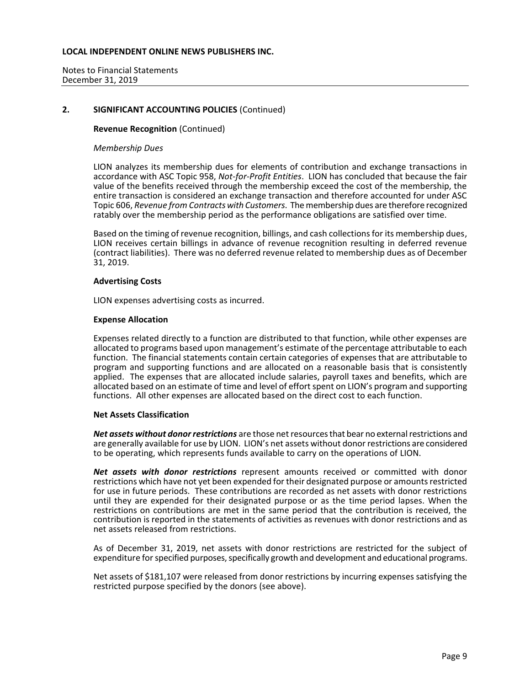Notes to Financial Statements December 31, 2019

## **2. SIGNIFICANT ACCOUNTING POLICIES** (Continued)

#### **Revenue Recognition** (Continued)

#### *Membership Dues*

LION analyzes its membership dues for elements of contribution and exchange transactions in accordance with ASC Topic 958, *Not-for-Profit Entities*. LION has concluded that because the fair value of the benefits received through the membership exceed the cost of the membership, the entire transaction is considered an exchange transaction and therefore accounted for under ASC Topic 606, *Revenue from Contracts with Customers*. The membership dues are therefore recognized ratably over the membership period as the performance obligations are satisfied over time.

Based on the timing of revenue recognition, billings, and cash collections for its membership dues, LION receives certain billings in advance of revenue recognition resulting in deferred revenue (contract liabilities). There was no deferred revenue related to membership dues as of December 31, 2019.

#### **Advertising Costs**

LION expenses advertising costs as incurred.

#### **Expense Allocation**

Expenses related directly to a function are distributed to that function, while other expenses are allocated to programs based upon management's estimate of the percentage attributable to each function. The financial statements contain certain categories of expenses that are attributable to program and supporting functions and are allocated on a reasonable basis that is consistently applied. The expenses that are allocated include salaries, payroll taxes and benefits, which are allocated based on an estimate of time and level of effort spent on LION's program and supporting functions. All other expenses are allocated based on the direct cost to each function.

#### **Net Assets Classification**

*Net assets without donor restrictions* are those net resources that bear no external restrictions and are generally available for use by LION. LION's net assets without donor restrictions are considered to be operating, which represents funds available to carry on the operations of LION.

*Net assets with donor restrictions* represent amounts received or committed with donor restrictions which have not yet been expended for their designated purpose or amounts restricted for use in future periods. These contributions are recorded as net assets with donor restrictions until they are expended for their designated purpose or as the time period lapses. When the restrictions on contributions are met in the same period that the contribution is received, the contribution is reported in the statements of activities as revenues with donor restrictions and as net assets released from restrictions.

As of December 31, 2019, net assets with donor restrictions are restricted for the subject of expenditure for specified purposes, specifically growth and development and educational programs.

Net assets of \$181,107 were released from donor restrictions by incurring expenses satisfying the restricted purpose specified by the donors (see above).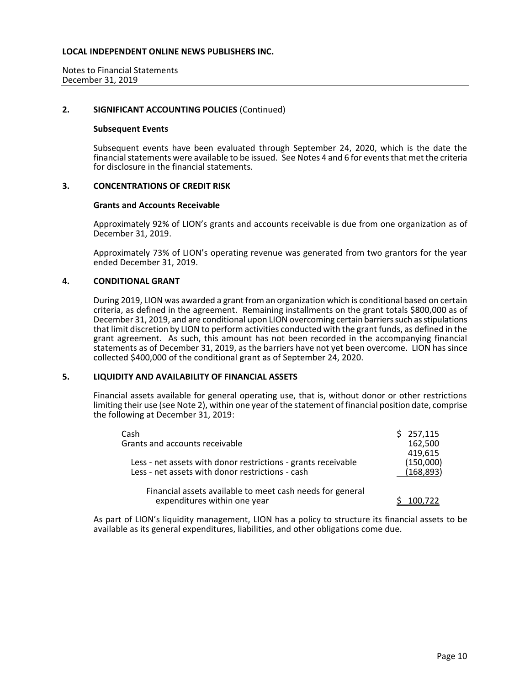Notes to Financial Statements December 31, 2019

#### **2. SIGNIFICANT ACCOUNTING POLICIES** (Continued)

#### **Subsequent Events**

Subsequent events have been evaluated through September 24, 2020, which is the date the financial statements were available to be issued. See Notes 4 and 6 for events that met the criteria for disclosure in the financial statements.

## **3. CONCENTRATIONS OF CREDIT RISK**

#### **Grants and Accounts Receivable**

Approximately 92% of LION's grants and accounts receivable is due from one organization as of December 31, 2019.

Approximately 73% of LION's operating revenue was generated from two grantors for the year ended December 31, 2019.

#### **4. CONDITIONAL GRANT**

During 2019, LION was awarded a grant from an organization which is conditional based on certain criteria, as defined in the agreement. Remaining installments on the grant totals \$800,000 as of December 31, 2019, and are conditional upon LION overcoming certain barriers such as stipulations that limit discretion by LION to perform activities conducted with the grant funds, as defined in the grant agreement. As such, this amount has not been recorded in the accompanying financial statements as of December 31, 2019, as the barriers have not yet been overcome. LION has since collected \$400,000 of the conditional grant as of September 24, 2020.

#### **5. LIQUIDITY AND AVAILABILITY OF FINANCIAL ASSETS**

Financial assets available for general operating use, that is, without donor or other restrictions limiting their use (see Note 2), within one year of the statement of financial position date, comprise the following at December 31, 2019:

| Cash                                                          | \$257,115  |
|---------------------------------------------------------------|------------|
| Grants and accounts receivable                                | 162,500    |
|                                                               | 419,615    |
| Less - net assets with donor restrictions - grants receivable | (150,000)  |
| Less - net assets with donor restrictions - cash              | (168, 893) |
| Financial assets available to meet cash needs for general     |            |
| expenditures within one year                                  | 100.722    |

As part of LION's liquidity management, LION has a policy to structure its financial assets to be available as its general expenditures, liabilities, and other obligations come due.